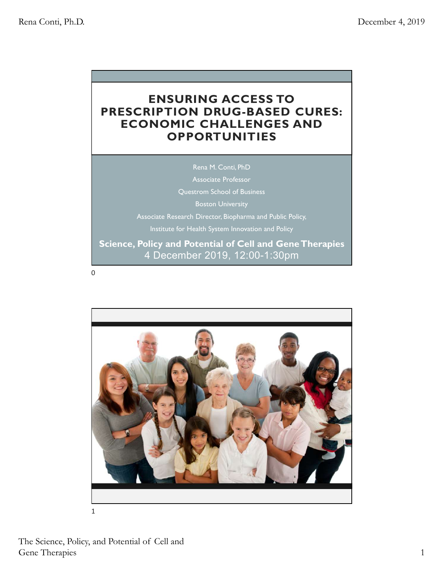## ENSURING ACCESS TO PRESCRIPTION DRUG-BASED CURES: ECONOMIC CHALLENGES AND **OPPORTUNITIES**

Rena M. Conti, PhD Associate Professor Questrom School of Business Boston University Associate Research Director, Biopharma and Public Policy, Institute for Health System Innovation and Policy Science, Policy and Potential of Cell and Gene Therapies

4 December 2019, 12:00-1:30pm

0

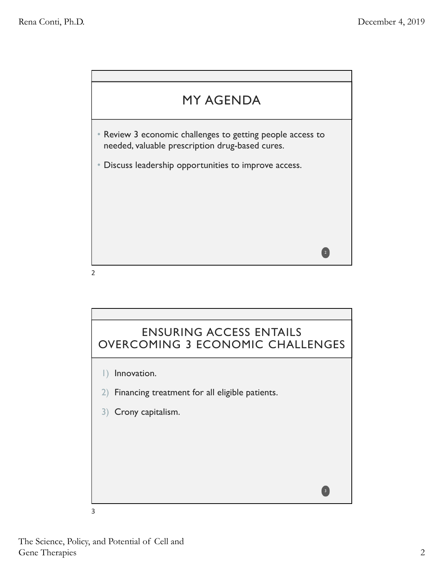



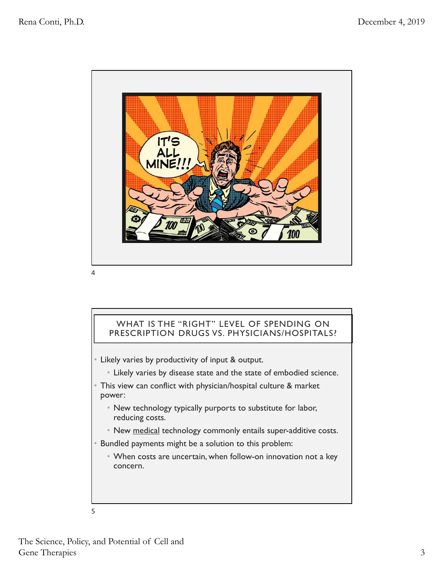

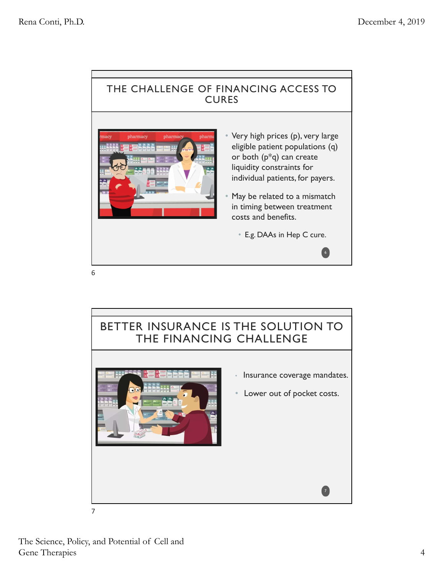## THE CHALLENGE OF FINANCING ACCESS TO **CURES**



- Very high prices (p), very large eligible patient populations (q) or both (p\*q) can create liquidity constraints for individual patients, for payers. • E.g. DAAs in Hep C cure.6
- May be related to a mismatch in timing between treatment costs and benefits.
	-

6

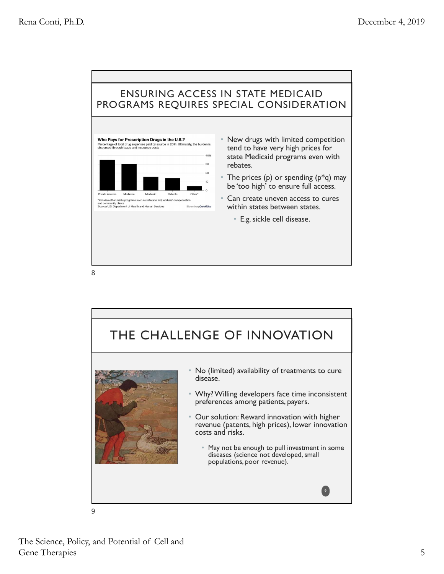